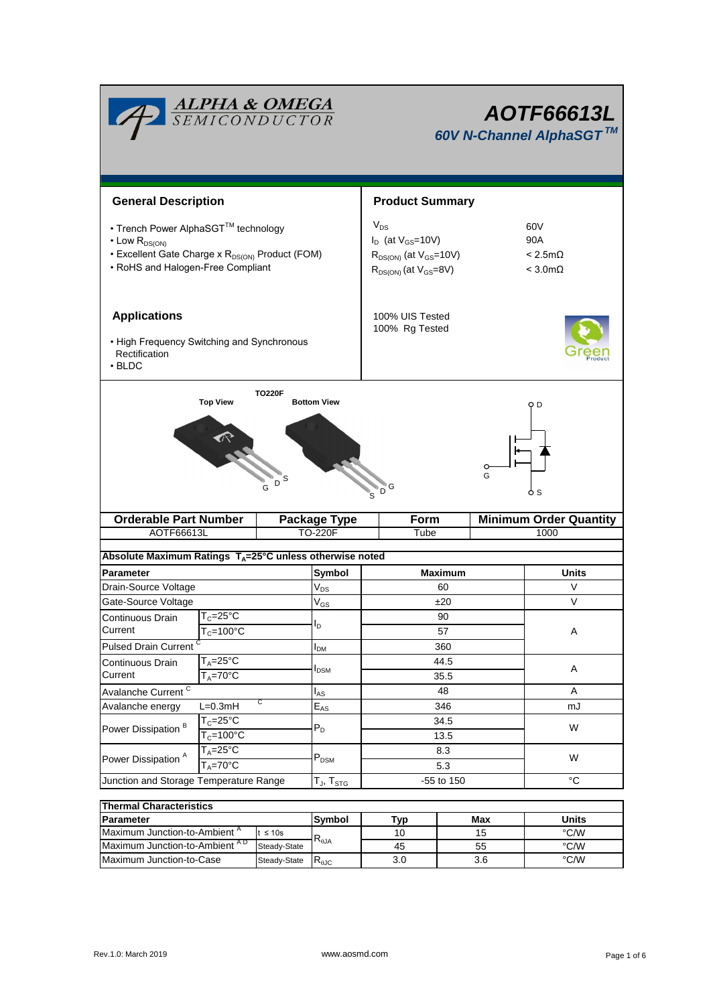| <b>ALPHA &amp; OMEGA</b><br>SEMICONDUCTOR                                                                                                                           |                                        |                      |                                                                                                           | AOTF66613L<br>60V N-Channel AlphaSGT™             |                               |  |  |  |
|---------------------------------------------------------------------------------------------------------------------------------------------------------------------|----------------------------------------|----------------------|-----------------------------------------------------------------------------------------------------------|---------------------------------------------------|-------------------------------|--|--|--|
| <b>General Description</b>                                                                                                                                          |                                        |                      |                                                                                                           | <b>Product Summary</b>                            |                               |  |  |  |
| • Trench Power AlphaSGT™ technology<br>$\cdot$ Low $R_{DS(ON)}$<br>• Excellent Gate Charge x R <sub>DS(ON)</sub> Product (FOM)<br>• RoHS and Halogen-Free Compliant |                                        |                      | $V_{DS}$<br>$I_D$ (at $V_{GS}$ =10V)<br>$R_{DS(ON)}$ (at $V_{GS}$ =10V)<br>$R_{DS(ON)}$ (at $V_{GS}=8V$ ) | 60V<br>90A<br>$< 2.5m\Omega$<br>$<$ 3.0m $\Omega$ |                               |  |  |  |
| <b>Applications</b><br>• High Frequency Switching and Synchronous<br>Rectification<br>$\cdot$ BLDC                                                                  |                                        |                      |                                                                                                           | 100% UIS Tested<br>100% Rg Tested                 |                               |  |  |  |
| <b>Top View</b><br><b>Bottom View</b><br>O D<br>G<br>S<br>D<br>Ġ<br>6 S                                                                                             |                                        |                      |                                                                                                           |                                                   |                               |  |  |  |
|                                                                                                                                                                     | <b>Orderable Part Number</b>           |                      | <b>Package Type</b>                                                                                       | Form                                              | <b>Minimum Order Quantity</b> |  |  |  |
| AOTF66613L                                                                                                                                                          |                                        |                      | <b>TO-220F</b>                                                                                            | Tube                                              | 1000                          |  |  |  |
|                                                                                                                                                                     |                                        |                      |                                                                                                           |                                                   |                               |  |  |  |
| Absolute Maximum Ratings T <sub>A</sub> =25°C unless otherwise noted                                                                                                |                                        |                      |                                                                                                           |                                                   |                               |  |  |  |
| <b>Parameter</b>                                                                                                                                                    |                                        |                      | Symbol                                                                                                    | <b>Maximum</b>                                    | <b>Units</b>                  |  |  |  |
| Drain-Source Voltage                                                                                                                                                |                                        |                      | $V_{DS}$                                                                                                  | 60                                                | V                             |  |  |  |
| Gate-Source Voltage                                                                                                                                                 |                                        |                      | $V_{GS}$                                                                                                  | ±20                                               | V                             |  |  |  |
| Continuous Drain<br>Current                                                                                                                                         | $T_c = 25$ °C                          |                      | I <sub>D</sub>                                                                                            | 90                                                |                               |  |  |  |
|                                                                                                                                                                     | $T_c = 100^{\circ}$ C                  |                      |                                                                                                           | 57                                                | Α                             |  |  |  |
|                                                                                                                                                                     | <b>Pulsed Drain Current</b>            |                      | $I_{DM}$                                                                                                  | 360                                               |                               |  |  |  |
| Continuous Drain<br>Current                                                                                                                                         | $T_A = 25$ °C<br>$T_A = 70^{\circ}$ C  |                      | <b>I</b> <sub>DSM</sub>                                                                                   | 44.5<br>35.5                                      | Α                             |  |  |  |
| Avalanche Current <sup>C</sup>                                                                                                                                      |                                        |                      | 48                                                                                                        | A                                                 |                               |  |  |  |
| С<br>$L=0.3mH$<br>Avalanche energy                                                                                                                                  |                                        | $I_{AS}$<br>$E_{AS}$ | 346                                                                                                       | mJ                                                |                               |  |  |  |
|                                                                                                                                                                     | $T_c = 25$ °C<br>$T_c = 100^{\circ}$ C |                      |                                                                                                           | 34.5                                              |                               |  |  |  |
| Power Dissipation <sup>B</sup>                                                                                                                                      |                                        |                      | $\mathsf{P}_\mathsf{D}$                                                                                   | 13.5                                              | W                             |  |  |  |
|                                                                                                                                                                     |                                        |                      |                                                                                                           |                                                   |                               |  |  |  |
|                                                                                                                                                                     |                                        |                      |                                                                                                           |                                                   |                               |  |  |  |
| Power Dissipation <sup>A</sup>                                                                                                                                      | $T_A = 25^{\circ}C$                    |                      | $\mathsf{P}_\mathsf{DSM}$                                                                                 | 8.3<br>5.3                                        | W                             |  |  |  |
| Junction and Storage Temperature Range                                                                                                                              | $T_A = 70$ °C                          |                      | $T_J$ , $T_{STG}$                                                                                         | -55 to 150                                        | $^{\circ}C$                   |  |  |  |

| <b>Thermal Characteristics</b>           |              |                |     |       |      |  |  |  |
|------------------------------------------|--------------|----------------|-----|-------|------|--|--|--|
| <b>IParameter</b>                        | Svmbol       | Tvp            | Max | Units |      |  |  |  |
| Maximum Junction-to-Ambient <sup>"</sup> | t ≤ 10s      |                | 10  | 15    | °C/W |  |  |  |
| Maximum Junction-to-Ambient AD           | Steady-State | $R_{\theta$ JA | 45  | 55    | °C/W |  |  |  |
| Maximum Junction-to-Case                 | Steady-State | ≺⊕∪            | 3.0 | 3.6   | °C/W |  |  |  |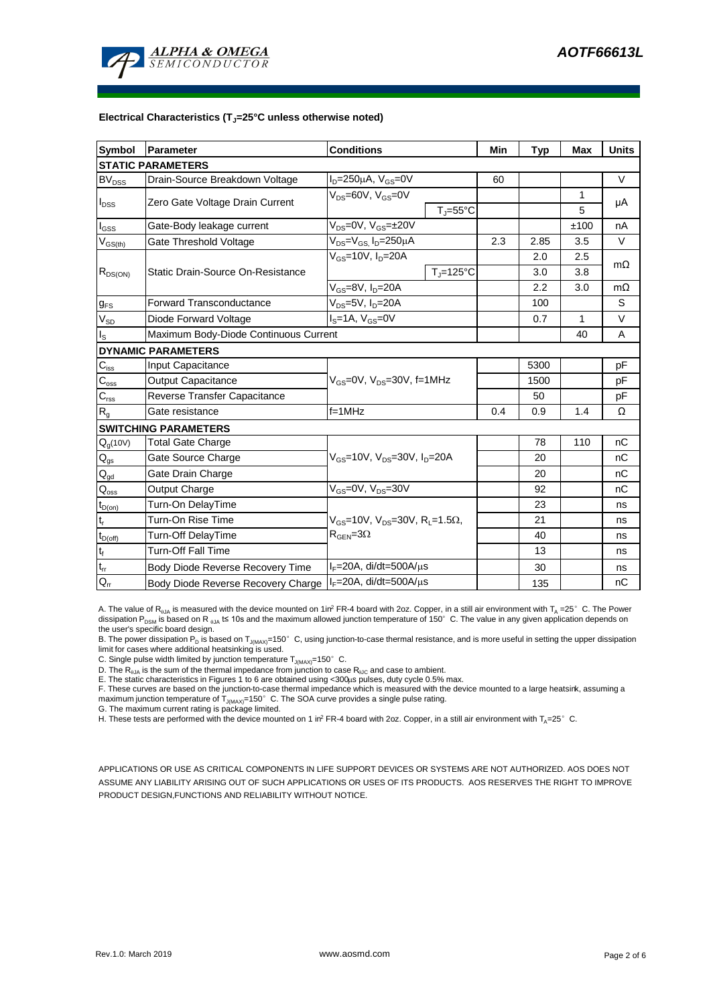

#### **Electrical Characteristics (TJ=25°C unless otherwise noted)**

| <b>Symbol</b>                           | <b>Parameter</b>                                           | <b>Conditions</b>                                            | Min                 | <b>Typ</b> | Max  | <b>Units</b> |           |
|-----------------------------------------|------------------------------------------------------------|--------------------------------------------------------------|---------------------|------------|------|--------------|-----------|
|                                         | <b>STATIC PARAMETERS</b>                                   |                                                              |                     |            |      |              |           |
| $\mathsf{BV}_{\mathsf{DSS}}$            | Drain-Source Breakdown Voltage                             | $I_D = 250 \mu A$ , $V_{GS} = 0V$                            |                     | 60         |      |              | $\vee$    |
| I <sub>DSS</sub>                        | Zero Gate Voltage Drain Current                            | $V_{DS} = 60V$ , $V_{GS} = 0V$                               |                     |            |      | 1            | μA        |
|                                         |                                                            |                                                              | $T_i = 55^{\circ}C$ |            |      | 5            |           |
| l <sub>GSS</sub>                        | Gate-Body leakage current                                  | $V_{DS} = 0V$ , $V_{GS} = \pm 20V$                           |                     |            |      | ±100         | nA        |
| $\mathsf{V}_{\mathsf{GS}(\mathsf{th})}$ | Gate Threshold Voltage                                     | $V_{DS} = V_{GS}$ , $I_D = 250 \mu A$                        |                     | 2.3        | 2.85 | 3.5          | $\vee$    |
|                                         |                                                            | $V_{GS}$ =10V, $I_D$ =20A                                    |                     |            | 2.0  | 2.5          | $m\Omega$ |
| $R_{DS(ON)}$                            | Static Drain-Source On-Resistance                          |                                                              | $T_J = 125$ °C      |            | 3.0  | 3.8          |           |
|                                         |                                                            | $\overline{V_{GS}}$ =8 $\overline{V}$ , I <sub>D</sub> =20A  |                     |            | 2.2  | 3.0          | $m\Omega$ |
| $g_{FS}$                                | <b>Forward Transconductance</b>                            | $V_{DS}$ =5V, I <sub>D</sub> =20A                            |                     |            | 100  |              | S         |
| $V_{SD}$                                | Diode Forward Voltage                                      | $I_S = 1A$ , $V_{GS} = 0V$                                   |                     |            | 0.7  | $\mathbf{1}$ | $\vee$    |
| Is                                      | Maximum Body-Diode Continuous Current                      |                                                              |                     |            | 40   | A            |           |
|                                         | <b>DYNAMIC PARAMETERS</b>                                  |                                                              |                     |            |      |              |           |
| $C_{\text{iss}}$                        | <b>Input Capacitance</b>                                   |                                                              |                     |            | 5300 |              | pF        |
| $\mathsf{C}_{\mathrm{oss}}$             | <b>Output Capacitance</b>                                  | $V_{GS}$ =0V, $V_{DS}$ =30V, f=1MHz                          |                     |            | 1500 |              | pF        |
| $C_{\rm rss}$                           | Reverse Transfer Capacitance                               |                                                              |                     |            | 50   |              | pF        |
| R <sub>g</sub>                          | Gate resistance                                            | $f = 1$ MHz                                                  |                     | 0.4        | 0.9  | 1.4          | Ω         |
|                                         | <b>SWITCHING PARAMETERS</b>                                |                                                              |                     |            |      |              |           |
| $Q_g(10V)$                              | <b>Total Gate Charge</b>                                   | $V_{GS}$ =10V, $V_{DS}$ =30V, $I_{D}$ =20A                   |                     |            | 78   | 110          | nC        |
| $\mathsf{Q}_{\mathsf{gs}}$              | Gate Source Charge                                         |                                                              |                     |            | 20   |              | nC        |
| $Q_{gd}$                                | Gate Drain Charge                                          |                                                              |                     |            | 20   |              | nC        |
| $\mathsf{Q}_{\mathsf{oss}}$             | Output Charge                                              | $V_{GS}$ =0V, $V_{DS}$ =30V                                  |                     |            | 92   |              | nC        |
| $t_{D(on)}$                             | Turn-On DelayTime                                          |                                                              |                     |            | 23   |              | ns        |
| t,                                      | Turn-On Rise Time                                          | $V_{GS}$ =10V, $V_{DS}$ =30V, R <sub>L</sub> =1.5 $\Omega$ , |                     |            | 21   |              | ns        |
| $t_{D(off)}$                            | Turn-Off DelayTime                                         | $R_{\text{GEN}} = 3\Omega$                                   |                     |            | 40   |              | ns        |
| $t_f$                                   | <b>Turn-Off Fall Time</b>                                  |                                                              |                     |            | 13   |              | ns        |
| $t_{rr}$                                | Body Diode Reverse Recovery Time                           | $I_F = 20A$ , di/dt=500A/ $\mu$ s                            |                     |            | 30   |              | ns        |
| $Q_{rr}$                                | Body Diode Reverse Recovery Charge   IF=20A, di/dt=500A/µs |                                                              |                     |            | 135  |              | nC        |

A. The value of R<sub>hJA</sub> is measured with the device mounted on 1in<sup>2</sup> FR-4 board with 2oz. Copper, in a still air environment with T<sub>A</sub> =25°C. The Power dissipation P<sub>DSM</sub> is based on R  $_{0.1A}$  t≤ 10s and the maximum allowed junction temperature of 150°C. The value in any given application depends on the user's specific board design.

B. The power dissipation P<sub>D</sub> is based on T<sub>J(MAX)</sub>=150°C, using junction-to-case thermal resistance, and is more useful in setting the upper dissipation limit for cases where additional heatsinking is used.

C. Single pulse width limited by junction temperature  $T_{J(MAX)}$ =150°C.

D. The  $R_{p,q}$  is the sum of the thermal impedance from junction to case  $R_{p,q}$  and case to ambient.

E. The static characteristics in Figures 1 to 6 are obtained using <300μs pulses, duty cycle 0.5% max.<br>F. These curves are based on the junction-to-case thermal impedance which is measured with the device mounted to a lar maximum junction temperature of  $T_{J(MAX)}$ =150°C. The SOA curve provides a single pulse rating.

G. The maximum current rating is package limited.

H. These tests are performed with the device mounted on 1 in<sup>2</sup> FR-4 board with 2oz. Copper, in a still air environment with T<sub>A</sub>=25°C.

APPLICATIONS OR USE AS CRITICAL COMPONENTS IN LIFE SUPPORT DEVICES OR SYSTEMS ARE NOT AUTHORIZED. AOS DOES NOT ASSUME ANY LIABILITY ARISING OUT OF SUCH APPLICATIONS OR USES OF ITS PRODUCTS. AOS RESERVES THE RIGHT TO IMPROVE PRODUCT DESIGN,FUNCTIONS AND RELIABILITY WITHOUT NOTICE.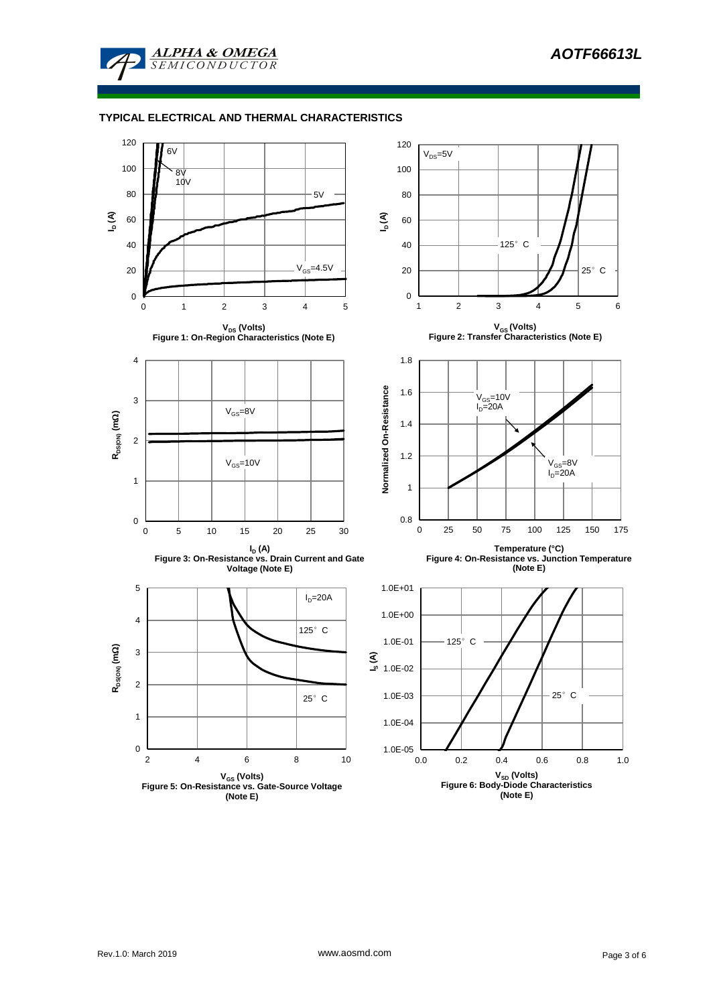

# **TYPICAL ELECTRICAL AND THERMAL CHARACTERISTICS**

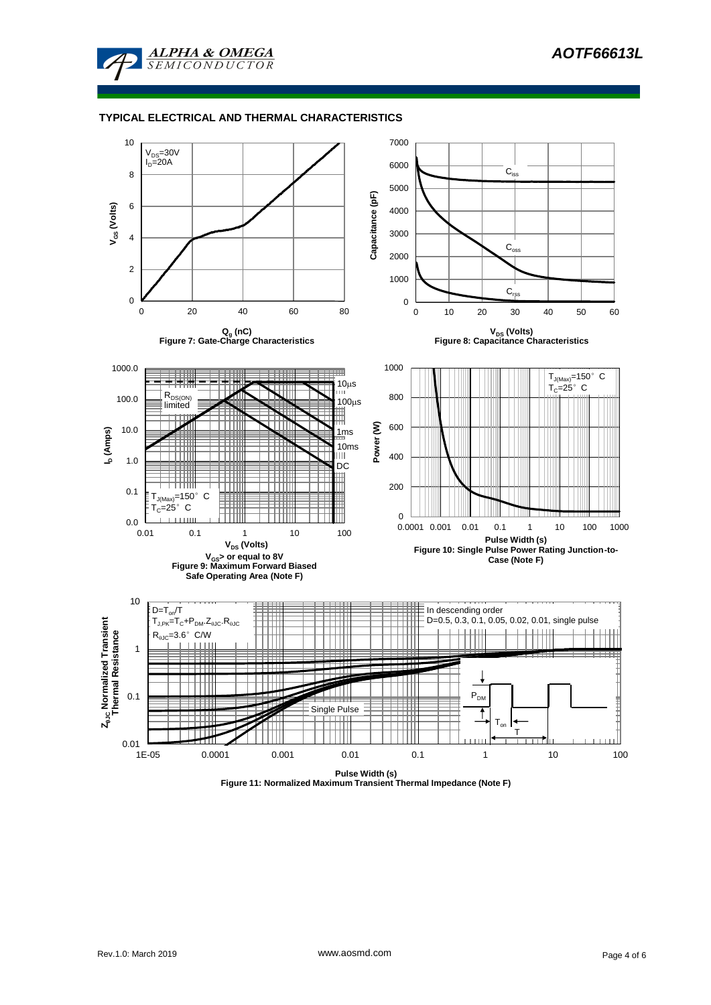

### **TYPICAL ELECTRICAL AND THERMAL CHARACTERISTICS**



**Figure 11: Normalized Maximum Transient Thermal Impedance (Note F)**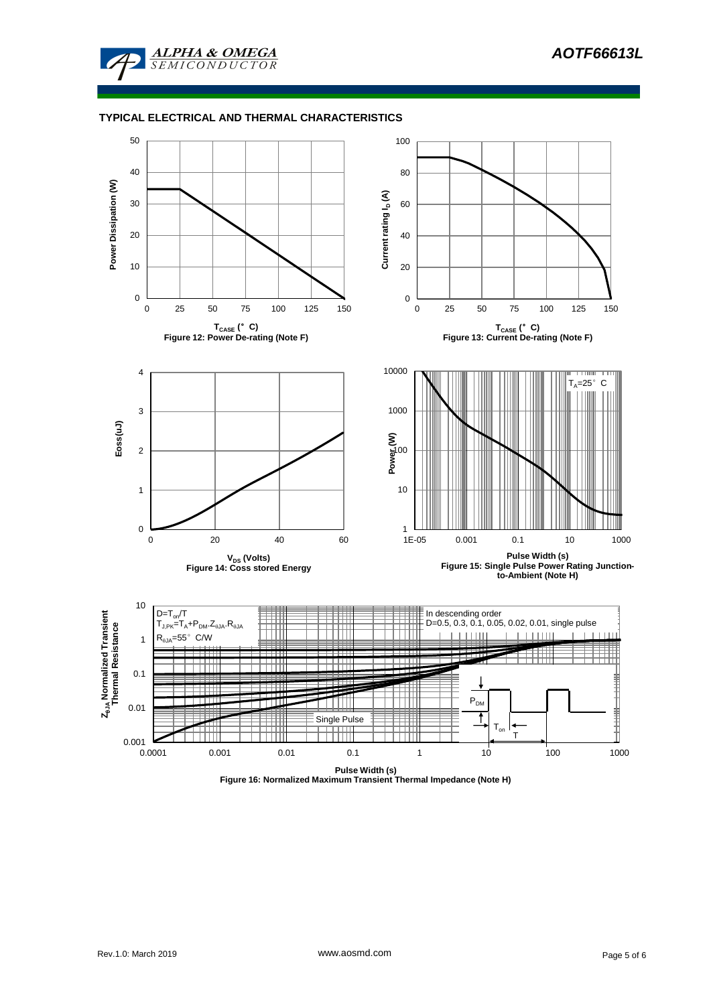

### **TYPICAL ELECTRICAL AND THERMAL CHARACTERISTICS**



**Figure 16: Normalized Maximum Transient Thermal Impedance (Note H)**